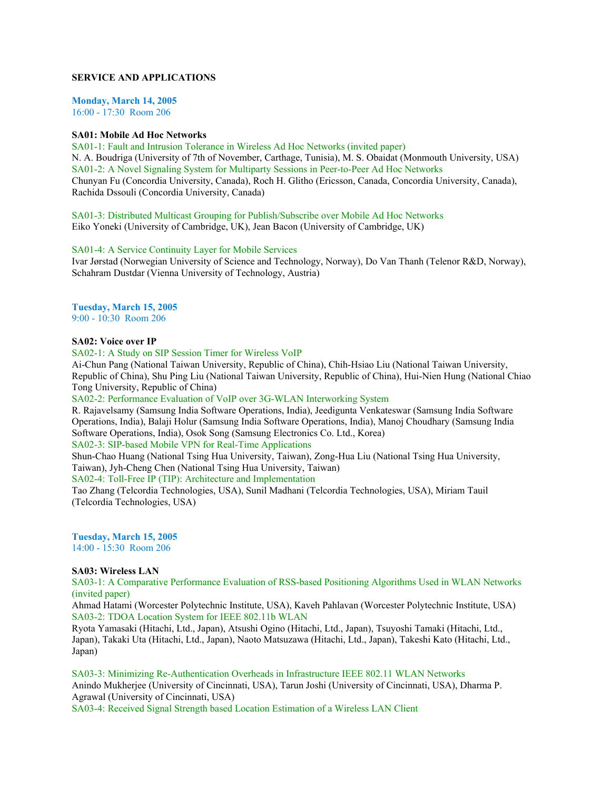# **SERVICE AND APPLICATIONS**

**Monday, March 14, 2005** 16:00 - 17:30 Room 206

#### **SA01: Mobile Ad Hoc Networks**

SA01-1: Fault and Intrusion Tolerance in Wireless Ad Hoc Networks (invited paper) N. A. Boudriga (University of 7th of November, Carthage, Tunisia), M. S. Obaidat (Monmouth University, USA) SA01-2: A Novel Signaling System for Multiparty Sessions in Peer-to-Peer Ad Hoc Networks Chunyan Fu (Concordia University, Canada), Roch H. Glitho (Ericsson, Canada, Concordia University, Canada), Rachida Dssouli (Concordia University, Canada)

SA01-3: Distributed Multicast Grouping for Publish/Subscribe over Mobile Ad Hoc Networks Eiko Yoneki (University of Cambridge, UK), Jean Bacon (University of Cambridge, UK)

SA01-4: A Service Continuity Layer for Mobile Services

Ivar Jørstad (Norwegian University of Science and Technology, Norway), Do Van Thanh (Telenor R&D, Norway), Schahram Dustdar (Vienna University of Technology, Austria)

# **Tuesday, March 15, 2005**

9:00 - 10:30 Room 206

## **SA02: Voice over IP**

SA02-1: A Study on SIP Session Timer for Wireless VoIP

Ai-Chun Pang (National Taiwan University, Republic of China), Chih-Hsiao Liu (National Taiwan University, Republic of China), Shu Ping Liu (National Taiwan University, Republic of China), Hui-Nien Hung (National Chiao Tong University, Republic of China)

#### SA02-2: Performance Evaluation of VoIP over 3G-WLAN Interworking System

R. Rajavelsamy (Samsung India Software Operations, India), Jeedigunta Venkateswar (Samsung India Software Operations, India), Balaji Holur (Samsung India Software Operations, India), Manoj Choudhary (Samsung India Software Operations, India), Osok Song (Samsung Electronics Co. Ltd., Korea)

SA02-3: SIP-based Mobile VPN for Real-Time Applications

Shun-Chao Huang (National Tsing Hua University, Taiwan), Zong-Hua Liu (National Tsing Hua University, Taiwan), Jyh-Cheng Chen (National Tsing Hua University, Taiwan)

SA02-4: Toll-Free IP (TIP): Architecture and Implementation

Tao Zhang (Telcordia Technologies, USA), Sunil Madhani (Telcordia Technologies, USA), Miriam Tauil (Telcordia Technologies, USA)

**Tuesday, March 15, 2005** 14:00 - 15:30 Room 206

## **SA03: Wireless LAN**

SA03-1: A Comparative Performance Evaluation of RSS-based Positioning Algorithms Used in WLAN Networks (invited paper)

Ahmad Hatami (Worcester Polytechnic Institute, USA), Kaveh Pahlavan (Worcester Polytechnic Institute, USA) SA03-2: TDOA Location System for IEEE 802.11b WLAN

Ryota Yamasaki (Hitachi, Ltd., Japan), Atsushi Ogino (Hitachi, Ltd., Japan), Tsuyoshi Tamaki (Hitachi, Ltd., Japan), Takaki Uta (Hitachi, Ltd., Japan), Naoto Matsuzawa (Hitachi, Ltd., Japan), Takeshi Kato (Hitachi, Ltd., Japan)

SA03-3: Minimizing Re-Authentication Overheads in Infrastructure IEEE 802.11 WLAN Networks Anindo Mukherjee (University of Cincinnati, USA), Tarun Joshi (University of Cincinnati, USA), Dharma P. Agrawal (University of Cincinnati, USA)

SA03-4: Received Signal Strength based Location Estimation of a Wireless LAN Client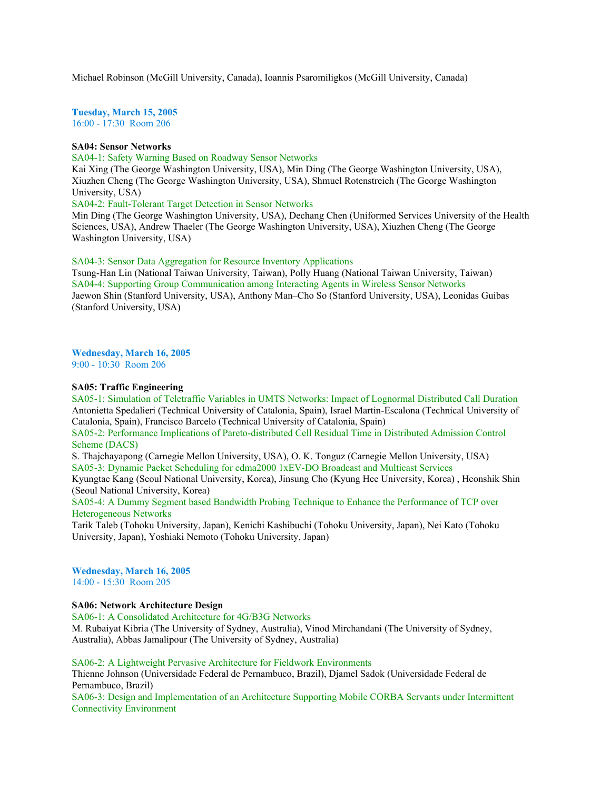Michael Robinson (McGill University, Canada), Ioannis Psaromiligkos (McGill University, Canada)

**Tuesday, March 15, 2005** 16:00 - 17:30 Room 206

#### **SA04: Sensor Networks**

SA04-1: Safety Warning Based on Roadway Sensor Networks

Kai Xing (The George Washington University, USA), Min Ding (The George Washington University, USA), Xiuzhen Cheng (The George Washington University, USA), Shmuel Rotenstreich (The George Washington University, USA)

SA04-2: Fault-Tolerant Target Detection in Sensor Networks

Min Ding (The George Washington University, USA), Dechang Chen (Uniformed Services University of the Health Sciences, USA), Andrew Thaeler (The George Washington University, USA), Xiuzhen Cheng (The George Washington University, USA)

SA04-3: Sensor Data Aggregation for Resource Inventory Applications

Tsung-Han Lin (National Taiwan University, Taiwan), Polly Huang (National Taiwan University, Taiwan) SA04-4: Supporting Group Communication among Interacting Agents in Wireless Sensor Networks Jaewon Shin (Stanford University, USA), Anthony Man–Cho So (Stanford University, USA), Leonidas Guibas (Stanford University, USA)

**Wednesday, March 16, 2005**

9:00 - 10:30 Room 206

## **SA05: Traffic Engineering**

SA05-1: Simulation of Teletraffic Variables in UMTS Networks: Impact of Lognormal Distributed Call Duration Antonietta Spedalieri (Technical University of Catalonia, Spain), Israel Martin-Escalona (Technical University of Catalonia, Spain), Francisco Barcelo (Technical University of Catalonia, Spain)

SA05-2: Performance Implications of Pareto-distributed Cell Residual Time in Distributed Admission Control Scheme (DACS)

S. Thajchayapong (Carnegie Mellon University, USA), O. K. Tonguz (Carnegie Mellon University, USA) SA05-3: Dynamic Packet Scheduling for cdma2000 1xEV-DO Broadcast and Multicast Services

Kyungtae Kang (Seoul National University, Korea), Jinsung Cho (Kyung Hee University, Korea) , Heonshik Shin (Seoul National University, Korea)

SA05-4: A Dummy Segment based Bandwidth Probing Technique to Enhance the Performance of TCP over Heterogeneous Networks

Tarik Taleb (Tohoku University, Japan), Kenichi Kashibuchi (Tohoku University, Japan), Nei Kato (Tohoku University, Japan), Yoshiaki Nemoto (Tohoku University, Japan)

**Wednesday, March 16, 2005** 14:00 - 15:30 Room 205

#### **SA06: Network Architecture Design**

SA06-1: A Consolidated Architecture for 4G/B3G Networks M. Rubaiyat Kibria (The University of Sydney, Australia), Vinod Mirchandani (The University of Sydney, Australia), Abbas Jamalipour (The University of Sydney, Australia)

#### SA06-2: A Lightweight Pervasive Architecture for Fieldwork Environments

Thienne Johnson (Universidade Federal de Pernambuco, Brazil), Djamel Sadok (Universidade Federal de Pernambuco, Brazil)

SA06-3: Design and Implementation of an Architecture Supporting Mobile CORBA Servants under Intermittent Connectivity Environment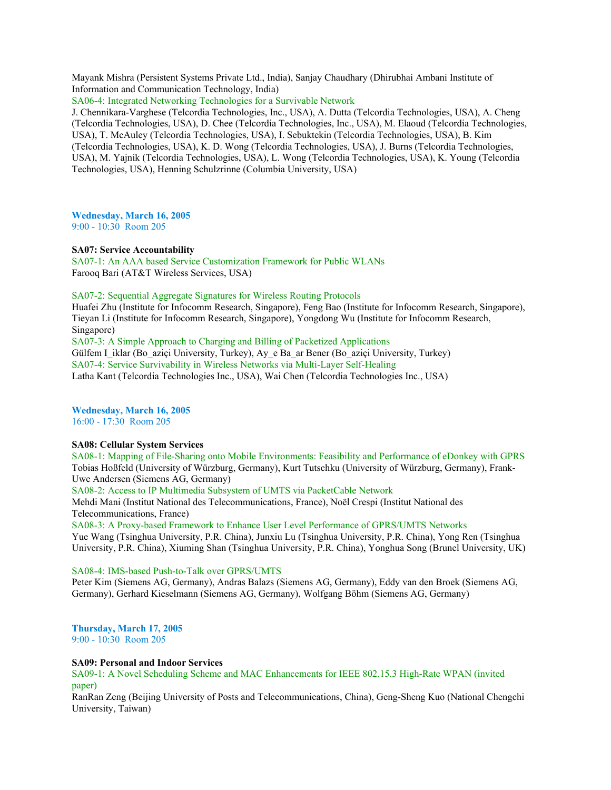Mayank Mishra (Persistent Systems Private Ltd., India), Sanjay Chaudhary (Dhirubhai Ambani Institute of Information and Communication Technology, India)

SA06-4: Integrated Networking Technologies for a Survivable Network

J. Chennikara-Varghese (Telcordia Technologies, Inc., USA), A. Dutta (Telcordia Technologies, USA), A. Cheng (Telcordia Technologies, USA), D. Chee (Telcordia Technologies, Inc., USA), M. Elaoud (Telcordia Technologies, USA), T. McAuley (Telcordia Technologies, USA), I. Sebuktekin (Telcordia Technologies, USA), B. Kim (Telcordia Technologies, USA), K. D. Wong (Telcordia Technologies, USA), J. Burns (Telcordia Technologies, USA), M. Yajnik (Telcordia Technologies, USA), L. Wong (Telcordia Technologies, USA), K. Young (Telcordia Technologies, USA), Henning Schulzrinne (Columbia University, USA)

**Wednesday, March 16, 2005**

9:00 - 10:30 Room 205

## **SA07: Service Accountability**

SA07-1: An AAA based Service Customization Framework for Public WLANs Farooq Bari (AT&T Wireless Services, USA)

## SA07-2: Sequential Aggregate Signatures for Wireless Routing Protocols

Huafei Zhu (Institute for Infocomm Research, Singapore), Feng Bao (Institute for Infocomm Research, Singapore), Tieyan Li (Institute for Infocomm Research, Singapore), Yongdong Wu (Institute for Infocomm Research, Singapore)

SA07-3: A Simple Approach to Charging and Billing of Packetized Applications

Gülfem I\_iklar (Bo\_aziçi University, Turkey), Ay\_e Ba\_ar Bener (Bo\_aziçi University, Turkey) SA07-4: Service Survivability in Wireless Networks via Multi-Layer Self-Healing

Latha Kant (Telcordia Technologies Inc., USA), Wai Chen (Telcordia Technologies Inc., USA)

**Wednesday, March 16, 2005**

16:00 - 17:30 Room 205

## **SA08: Cellular System Services**

SA08-1: Mapping of File-Sharing onto Mobile Environments: Feasibility and Performance of eDonkey with GPRS Tobias Hoßfeld (University of Würzburg, Germany), Kurt Tutschku (University of Würzburg, Germany), Frank-Uwe Andersen (Siemens AG, Germany)

SA08-2: Access to IP Multimedia Subsystem of UMTS via PacketCable Network

Mehdi Mani (Institut National des Telecommunications, France), Noël Crespi (Institut National des Telecommunications, France)

SA08-3: A Proxy-based Framework to Enhance User Level Performance of GPRS/UMTS Networks Yue Wang (Tsinghua University, P.R. China), Junxiu Lu (Tsinghua University, P.R. China), Yong Ren (Tsinghua University, P.R. China), Xiuming Shan (Tsinghua University, P.R. China), Yonghua Song (Brunel University, UK)

## SA08-4: IMS-based Push-to-Talk over GPRS/UMTS

Peter Kim (Siemens AG, Germany), Andras Balazs (Siemens AG, Germany), Eddy van den Broek (Siemens AG, Germany), Gerhard Kieselmann (Siemens AG, Germany), Wolfgang Böhm (Siemens AG, Germany)

# **Thursday, March 17, 2005**

9:00 - 10:30 Room 205

## **SA09: Personal and Indoor Services**

SA09-1: A Novel Scheduling Scheme and MAC Enhancements for IEEE 802.15.3 High-Rate WPAN (invited paper)

RanRan Zeng (Beijing University of Posts and Telecommunications, China), Geng-Sheng Kuo (National Chengchi University, Taiwan)